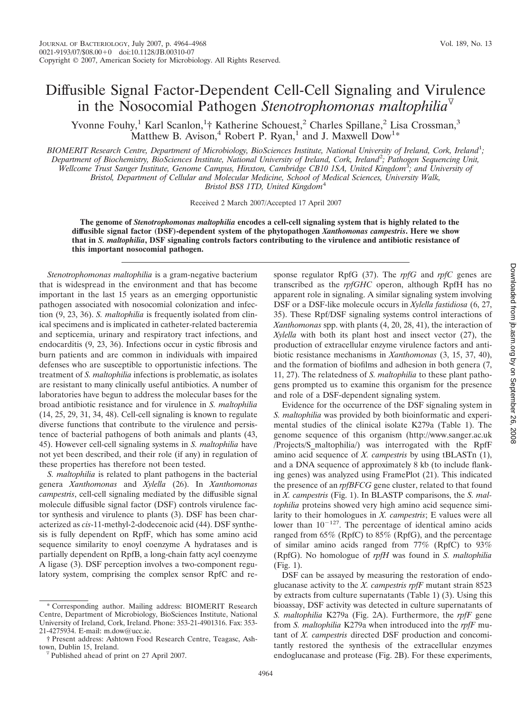## Diffusible Signal Factor-Dependent Cell-Cell Signaling and Virulence in the Nosocomial Pathogen *Stenotrophomonas maltophilia*

Yvonne Fouhy,<sup>1</sup> Karl Scanlon,<sup>1</sup>† Katherine Schouest,<sup>2</sup> Charles Spillane,<sup>2</sup> Lisa Crossman,<sup>3</sup> Matthew B. Avison,<sup>4</sup> Robert P. Ryan,<sup>1</sup> and J. Maxwell Dow<sup>1\*</sup>

*BIOMERIT Research Centre, Department of Microbiology, BioSciences Institute, National University of Ireland, Cork, Ireland*<sup>1</sup> *; Department of Biochemistry, BioSciences Institute, National University of Ireland, Cork, Ireland*<sup>2</sup> *; Pathogen Sequencing Unit, Wellcome Trust Sanger Institute, Genome Campus, Hinxton, Cambridge CB10 1SA, United Kingdom*<sup>3</sup> *; and University of Bristol, Department of Cellular and Molecular Medicine, School of Medical Sciences, University Walk, Bristol BS8 1TD, United Kingdom*<sup>4</sup>

Received 2 March 2007/Accepted 17 April 2007

**The genome of** *Stenotrophomonas maltophilia* **encodes a cell-cell signaling system that is highly related to the diffusible signal factor (DSF)-dependent system of the phytopathogen** *Xanthomonas campestris***. Here we show that in** *S. maltophilia***, DSF signaling controls factors contributing to the virulence and antibiotic resistance of this important nosocomial pathogen.**

*Stenotrophomonas maltophilia* is a gram-negative bacterium that is widespread in the environment and that has become important in the last 15 years as an emerging opportunistic pathogen associated with nosocomial colonization and infection (9, 23, 36). *S. maltophilia* is frequently isolated from clinical specimens and is implicated in catheter-related bacteremia and septicemia, urinary and respiratory tract infections, and endocarditis (9, 23, 36). Infections occur in cystic fibrosis and burn patients and are common in individuals with impaired defenses who are susceptible to opportunistic infections. The treatment of *S. maltophilia* infections is problematic, as isolates are resistant to many clinically useful antibiotics. A number of laboratories have begun to address the molecular bases for the broad antibiotic resistance and for virulence in *S. maltophilia* (14, 25, 29, 31, 34, 48). Cell-cell signaling is known to regulate diverse functions that contribute to the virulence and persistence of bacterial pathogens of both animals and plants (43, 45). However cell-cell signaling systems in *S. maltophilia* have not yet been described, and their role (if any) in regulation of these properties has therefore not been tested.

*S. maltophilia* is related to plant pathogens in the bacterial genera *Xanthomonas* and *Xylella* (26). In *Xanthomonas campestris*, cell-cell signaling mediated by the diffusible signal molecule diffusible signal factor (DSF) controls virulence factor synthesis and virulence to plants (3). DSF has been characterized as *cis*-11-methyl-2-dodecenoic acid (44). DSF synthesis is fully dependent on RpfF, which has some amino acid sequence similarity to enoyl coenzyme A hydratases and is partially dependent on RpfB, a long-chain fatty acyl coenzyme A ligase (3). DSF perception involves a two-component regulatory system, comprising the complex sensor RpfC and response regulator RpfG (37). The *rpfG* and *rpfC* genes are transcribed as the *rpfGHC* operon, although RpfH has no apparent role in signaling. A similar signaling system involving DSF or a DSF-like molecule occurs in *Xylella fastidiosa* (6, 27, 35). These Rpf/DSF signaling systems control interactions of *Xanthomonas* spp. with plants (4, 20, 28, 41), the interaction of *Xylella* with both its plant host and insect vector (27), the production of extracellular enzyme virulence factors and antibiotic resistance mechanisms in *Xanthomonas* (3, 15, 37, 40), and the formation of biofilms and adhesion in both genera (7, 11, 27). The relatedness of *S. maltophilia* to these plant pathogens prompted us to examine this organism for the presence and role of a DSF-dependent signaling system.

Evidence for the occurrence of the DSF signaling system in *S. maltophilia* was provided by both bioinformatic and experimental studies of the clinical isolate K279a (Table 1). The genome sequence of this organism (http://www.sanger.ac.uk /Projects/S\_maltophilia/) was interrogated with the RpfF amino acid sequence of *X. campestris* by using tBLASTn (1), and a DNA sequence of approximately 8 kb (to include flanking genes) was analyzed using FramePlot (21). This indicated the presence of an *rpfBFCG* gene cluster, related to that found in *X. campestris* (Fig. 1). In BLASTP comparisons, the *S. maltophilia* proteins showed very high amino acid sequence similarity to their homologues in *X. campestris*; E values were all lower than  $10^{-127}$ . The percentage of identical amino acids ranged from 65% (RpfC) to 85% (RpfG), and the percentage of similar amino acids ranged from 77% (RpfC) to 93% (RpfG). No homologue of *rpfH* was found in *S. maltophilia* (Fig. 1).

DSF can be assayed by measuring the restoration of endoglucanase activity to the *X. campestris rpfF* mutant strain 8523 by extracts from culture supernatants (Table 1) (3). Using this bioassay, DSF activity was detected in culture supernatants of *S. maltophilia* K279a (Fig. 2A). Furthermore, the *rpfF* gene from *S. maltophilia* K279a when introduced into the *rpfF* mutant of *X. campestris* directed DSF production and concomitantly restored the synthesis of the extracellular enzymes endoglucanase and protease (Fig. 2B). For these experiments,

<sup>\*</sup> Corresponding author. Mailing address: BIOMERIT Research Centre, Department of Microbiology, BioSciences Institute, National University of Ireland, Cork, Ireland. Phone: 353-21-4901316. Fax: 353- 21-4275934. E-mail: m.dow@ucc.ie.

<sup>†</sup> Present address: Ashtown Food Research Centre, Teagasc, Ash-

Published ahead of print on 27 April 2007.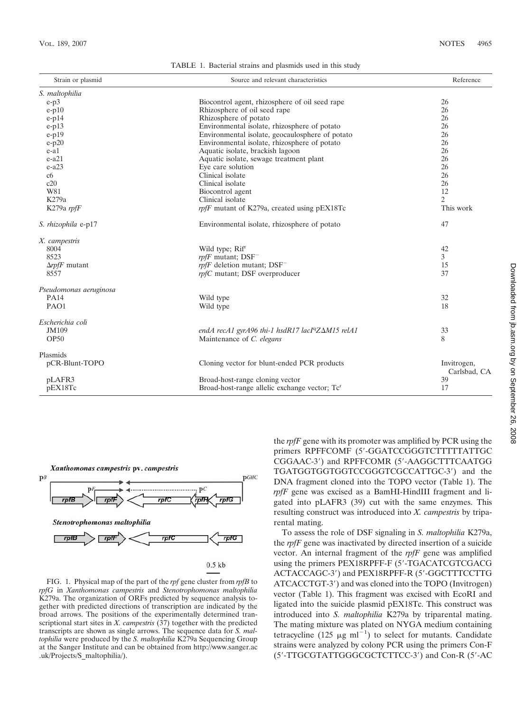TABLE 1. Bacterial strains and plasmids used in this study

| Strain or plasmid            | Source and relevant characteristics                          | Reference                   |
|------------------------------|--------------------------------------------------------------|-----------------------------|
| S. maltophilia               |                                                              |                             |
| $e-p3$                       | Biocontrol agent, rhizosphere of oil seed rape               | 26                          |
| $e-p10$                      | Rhizosphere of oil seed rape                                 | 26                          |
| $e-p14$                      | Rhizosphere of potato                                        | 26                          |
| e-p13                        | Environmental isolate, rhizosphere of potato                 | 26                          |
| $e-p19$                      | Environmental isolate, geocaulosphere of potato              | 26                          |
| $e-p20$                      | Environmental isolate, rhizosphere of potato                 | 26                          |
| e-a1                         | Aquatic isolate, brackish lagoon                             | 26                          |
| $e-a21$                      | Aquatic isolate, sewage treatment plant                      | 26                          |
| $e-a23$                      | Eye care solution                                            | 26                          |
| c6                           | Clinical isolate                                             | 26                          |
| c20                          | Clinical isolate                                             | 26                          |
| W81                          | Biocontrol agent                                             | 12                          |
| K279a                        | Clinical isolate                                             | $\overline{c}$              |
| K279a rpfF                   | rpfF mutant of K279a, created using pEX18Tc                  | This work                   |
| S. rhizophila e-p17          | Environmental isolate, rhizosphere of potato                 | 47                          |
| X. campestris                |                                                              |                             |
| 8004                         | Wild type; Rif <sup>r</sup>                                  | 42                          |
| 8523                         | $rpfF$ mutant; $DSF^-$                                       | 3                           |
| $\Delta r$ <i>pfF</i> mutant | $rp$ fF deletion mutant; DSF <sup>-</sup>                    | 15                          |
| 8557                         | rpfC mutant; DSF overproducer                                | 37                          |
| Pseudomonas aeruginosa       |                                                              |                             |
| <b>PA14</b>                  | Wild type                                                    | 32                          |
| PAO1                         | Wild type                                                    | 18                          |
| Escherichia coli             |                                                              |                             |
| JM109                        | endA recA1 gyrA96 thi-1 hsdR17 lacI <sup>q</sup> Z∆M15 relA1 | 33                          |
| OP <sub>50</sub>             | Maintenance of C. elegans                                    | 8                           |
| Plasmids                     |                                                              |                             |
| pCR-Blunt-TOPO               | Cloning vector for blunt-ended PCR products                  | Invitrogen,<br>Carlsbad, CA |
| pLAFR3                       | Broad-host-range cloning vector                              | 39                          |
| pEX18Tc                      | Broad-host-range allelic exchange vector; Tc <sup>r</sup>    | 17                          |



FIG. 1. Physical map of the part of the *rpf* gene cluster from *rpfB* to *rpfG* in *Xanthomonas campestris* and *Stenotrophomonas maltophilia* K279a. The organization of ORFs predicted by sequence analysis together with predicted directions of transcription are indicated by the broad arrows. The positions of the experimentally determined transcriptional start sites in *X. campestris* (37) together with the predicted transcripts are shown as single arrows. The sequence data for *S. maltophilia* were produced by the *S. maltophilia* K279a Sequencing Group at the Sanger Institute and can be obtained from http://www.sanger.ac .uk/Projects/S\_maltophilia/).

the *rpfF* gene with its promoter was amplified by PCR using the primers RPFFCOMF (5'-GGATCCGGGTCTTTTTATTGC CGGAAC-3) and RPFFCOMR (5-AAGGCTTTCAATGG TGATGGTGGTGGTCCGGGTCGCCATTGC-3) and the DNA fragment cloned into the TOPO vector (Table 1). The *rpfF* gene was excised as a BamHI-HindIII fragment and ligated into pLAFR3 (39) cut with the same enzymes. This resulting construct was introduced into *X. campestris* by triparental mating.

To assess the role of DSF signaling in *S. maltophilia* K279a, the *rpfF* gene was inactivated by directed insertion of a suicide vector. An internal fragment of the *rpfF* gene was amplified using the primers PEX18RPFF-F (5'-TGACATCGTCGACG ACTACCAGC-3') and PEX18RPFF-R (5'-GGCTTTCCTTG ATCACCTGT-3) and was cloned into the TOPO (Invitrogen) vector (Table 1). This fragment was excised with EcoRI and ligated into the suicide plasmid pEX18Tc. This construct was introduced into *S. maltophilia* K279a by triparental mating. The mating mixture was plated on NYGA medium containing tetracycline (125  $\mu$ g ml<sup>-1</sup>) to select for mutants. Candidate strains were analyzed by colony PCR using the primers Con-F (5-TTGCGTATTGGGCGCTCTTCC-3) and Con-R (5-AC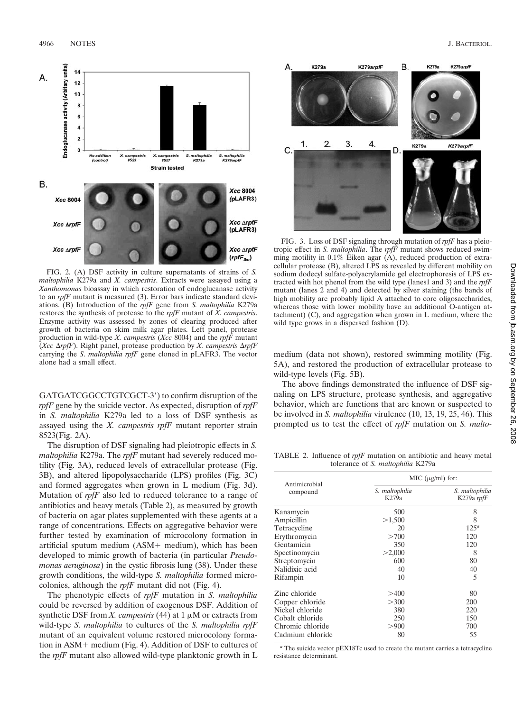

FIG. 2. (A) DSF activity in culture supernatants of strains of *S. maltophilia* K279a and *X. campestris*. Extracts were assayed using a *Xanthomonas* bioassay in which restoration of endoglucanase activity to an *rpfF* mutant is measured (3). Error bars indicate standard deviations. (B) Introduction of the *rpfF* gene from *S. maltophilia* K279a restores the synthesis of protease to the *rpfF* mutant of *X. campestris*. Enzyme activity was assessed by zones of clearing produced after growth of bacteria on skim milk agar plates. Left panel, protease production in wild-type *X. campestris* (*Xcc* 8004) and the *rpfF* mutant (*Xcc*  $\Delta rpfF$ ). Right panel, protease production by *X. campestris*  $\Delta rpfF$ carrying the *S*. *maltophilia rpfF* gene cloned in pLAFR3. The vector alone had a small effect.

GATGATCGGCCTGTCGCT-3') to confirm disruption of the *rpfF* gene by the suicide vector. As expected, disruption of *rpfF* in *S. maltophilia* K279a led to a loss of DSF synthesis as assayed using the *X. campestris rpfF* mutant reporter strain 8523(Fig. 2A).

The disruption of DSF signaling had pleiotropic effects in *S. maltophilia* K279a. The *rpfF* mutant had severely reduced motility (Fig. 3A), reduced levels of extracellular protease (Fig. 3B), and altered lipopolysaccharide (LPS) profiles (Fig. 3C) and formed aggregates when grown in L medium (Fig. 3d). Mutation of *rpfF* also led to reduced tolerance to a range of antibiotics and heavy metals (Table 2), as measured by growth of bacteria on agar plates supplemented with these agents at a range of concentrations. Effects on aggregative behavior were further tested by examination of microcolony formation in artificial sputum medium  $(ASM + medium)$ , which has been developed to mimic growth of bacteria (in particular *Pseudomonas aeruginosa*) in the cystic fibrosis lung (38). Under these growth conditions, the wild-type *S. maltophilia* formed microcolonies, although the *rpfF* mutant did not (Fig. 4).

The phenotypic effects of *rpfF* mutation in *S. maltophilia* could be reversed by addition of exogenous DSF. Addition of synthetic DSF from *X. campestris* (44) at  $1 \mu M$  or extracts from wild-type *S. maltophilia* to cultures of the *S. maltophilia rpfF* mutant of an equivalent volume restored microcolony formation in  $ASM$  + medium (Fig. 4). Addition of DSF to cultures of the *rpfF* mutant also allowed wild-type planktonic growth in L



FIG. 3. Loss of DSF signaling through mutation of *rpfF* has a pleiotropic effect in *S. maltophilia*. The *rpfF* mutant shows reduced swimming motility in 0.1% Eiken agar (A), reduced production of extracellular protease (B), altered LPS as revealed by different mobility on sodium dodecyl sulfate-polyacrylamide gel electrophoresis of LPS extracted with hot phenol from the wild type (lanes1 and 3) and the *rpfF* mutant (lanes 2 and 4) and detected by silver staining (the bands of high mobility are probably lipid A attached to core oligosaccharides, whereas those with lower mobility have an additional O-antigen attachment) (C), and aggregation when grown in L medium, where the wild type grows in a dispersed fashion (D).

medium (data not shown), restored swimming motility (Fig. 5A), and restored the production of extracellular protease to wild-type levels (Fig. 5B).

The above findings demonstrated the influence of DSF signaling on LPS structure, protease synthesis, and aggregative behavior, which are functions that are known or suspected to be involved in *S. maltophilia* virulence (10, 13, 19, 25, 46). This prompted us to test the effect of *rpfF* mutation on *S. malto-*

TABLE 2. Influence of *rpfF* mutation on antibiotic and heavy metal tolerance of *S. maltophilia* K279a

|                           | MIC $(\mu g/ml)$ for:   |                                   |  |
|---------------------------|-------------------------|-----------------------------------|--|
| Antimicrobial<br>compound | S. maltophilia<br>K279a | S. maltophilia<br>K279a $\eta$ fF |  |
| Kanamycin                 | 500                     | 8                                 |  |
| Ampicillin                | >1,500                  | 8                                 |  |
| Tetracycline              | 20                      | $125^a$                           |  |
| Erythromycin              | >700                    | 120                               |  |
| Gentamicin                | 350                     | 120                               |  |
| Spectinomycin             | >2,000                  | 8                                 |  |
| Streptomycin              | 600                     | 80                                |  |
| Nalidixic acid            | 40                      | 40                                |  |
| Rifampin                  | 10                      | 5                                 |  |
| Zinc chloride             | >400                    | 80                                |  |
| Copper chloride           | >300                    | 200                               |  |
| Nickel chloride           | 380                     | 220                               |  |
| Cobalt chloride           | 250                     | 150                               |  |
| Chromic chloride          | >900                    | 700                               |  |
| Cadmium chloride          | 80                      | 55                                |  |

*<sup>a</sup>* The suicide vector pEX18Tc used to create the mutant carries a tetracycline resistance determinant.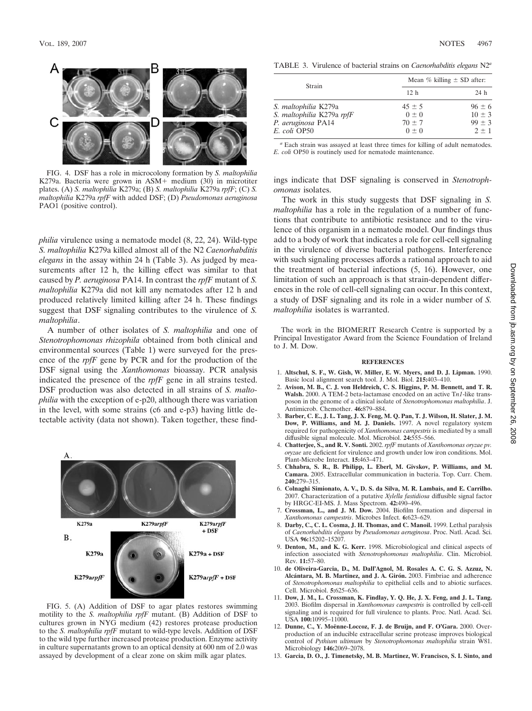

FIG. 4. DSF has a role in microcolony formation by *S. maltophilia* K279a. Bacteria were grown in ASM+ medium (30) in microtiter plates. (A) *S. maltophilia* K279a; (B) *S. maltophilia* K279a *rpfF*; (C) *S. maltophilia* K279a *rpfF* with added DSF; (D) *Pseudomonas aeruginosa* PAO1 (positive control).

*philia* virulence using a nematode model (8, 22, 24). Wild-type *S. maltophilia* K279a killed almost all of the N2 *Caenorhabditis elegans* in the assay within 24 h (Table 3). As judged by measurements after 12 h, the killing effect was similar to that caused by *P. aeruginosa* PA14. In contrast the *rpfF* mutant of *S. maltophilia* K279a did not kill any nematodes after 12 h and produced relatively limited killing after 24 h. These findings suggest that DSF signaling contributes to the virulence of *S. maltophilia*.

A number of other isolates of *S. maltophilia* and one of *Stenotrophomonas rhizophila* obtained from both clinical and environmental sources (Table 1) were surveyed for the presence of the *rpfF* gene by PCR and for the production of the DSF signal using the *Xanthomonas* bioassay. PCR analysis indicated the presence of the *rpfF* gene in all strains tested. DSF production was also detected in all strains of *S. maltophilia* with the exception of e-p20, although there was variation in the level, with some strains (c6 and e-p3) having little detectable activity (data not shown). Taken together, these find-



FIG. 5. (A) Addition of DSF to agar plates restores swimming motility to the *S. maltophilia rpfF* mutant. (B) Addition of DSF to cultures grown in NYG medium (42) restores protease production to the *S. maltophilia rpfF* mutant to wild-type levels. Addition of DSF to the wild type further increased protease production. Enzyme activity in culture supernatants grown to an optical density at 600 nm of 2.0 was assayed by development of a clear zone on skim milk agar plates.

TABLE 3. Virulence of bacterial strains on *Caenorhabditis elegans* N2*<sup>a</sup>*

| Strain                      | Mean $\%$ killing $\pm$ SD after: |            |  |
|-----------------------------|-----------------------------------|------------|--|
|                             | 12 <sub>h</sub>                   | 24 h       |  |
| S. <i>maltophilia</i> K279a | $45 \pm 5$                        | $96 \pm 6$ |  |
| S. maltophilia K279a rpfF   | $0 \pm 0$                         | $10 \pm 3$ |  |
| P. aeruginosa PA14          | $70 \pm 7$                        | $99 \pm 3$ |  |
| E. coli OP50                | $0 \pm 0$                         | $2 + 1$    |  |

*<sup>a</sup>* Each strain was assayed at least three times for killing of adult nematodes. *E. coli* OP50 is routinely used for nematode maintenance.

ings indicate that DSF signaling is conserved in *Stenotrophomonas* isolates.

The work in this study suggests that DSF signaling in *S. maltophilia* has a role in the regulation of a number of functions that contribute to antibiotic resistance and to the virulence of this organism in a nematode model. Our findings thus add to a body of work that indicates a role for cell-cell signaling in the virulence of diverse bacterial pathogens. Interference with such signaling processes affords a rational approach to aid the treatment of bacterial infections (5, 16). However, one limitation of such an approach is that strain-dependent differences in the role of cell-cell signaling can occur. In this context, a study of DSF signaling and its role in a wider number of *S. maltophilia* isolates is warranted.

The work in the BIOMERIT Research Centre is supported by a Principal Investigator Award from the Science Foundation of Ireland to J. M. Dow.

## **REFERENCES**

- 1. **Altschul, S. F., W. Gish, W. Miller, E. W. Myers, and D. J. Lipman.** 1990. Basic local alignment search tool. J. Mol. Biol. **215:**403–410.
- 2. **Avison, M. B., C. J. von Heldreich, C. S. Higgins, P. M. Bennett, and T. R. Walsh.** 2000. A TEM-2 beta-lactamase encoded on an active T*n1*-like transposon in the genome of a clinical isolate of *Stenotrophomonas maltophilia*. J. Antimicrob. Chemother. **46:**879–884.
- 3. **Barber, C. E., J. L. Tang, J. X. Feng, M. Q. Pan, T. J. Wilson, H. Slater, J. M. Dow, P. Williams, and M. J. Daniels.** 1997. A novel regulatory system required for pathogenicity of *Xanthomonas campestris* is mediated by a small diffusible signal molecule. Mol. Microbiol. **24:**555–566.
- 4. **Chatterjee, S., and R. V. Sonti.** 2002. *rpfF* mutants of *Xanthomonas oryzae pv. oryzae* are deficient for virulence and growth under low iron conditions. Mol. Plant-Microbe Interact. **15:**463–471.
- 5. **Chhabra, S. R., B. Philipp, L. Eberl, M. Givskov, P. Williams, and M. Camara.** 2005. Extracellular communication in bacteria. Top. Curr. Chem. **240:**279–315.
- 6. **Colnaghi Simionato, A. V., D. S. da Silva, M. R. Lambais, and E. Carrilho.** 2007. Characterization of a putative *Xylella fastidiosa* diffusible signal factor by HRGC-EI-MS. J. Mass Spectrom. **42:**490–496.
- 7. **Crossman, L., and J. M. Dow.** 2004. Biofilm formation and dispersal in *Xanthomonas campestris*. Microbes Infect. **6:**623–629.
- 8. **Darby, C., C. L. Cosma, J. H. Thomas, and C. Manoil.** 1999. Lethal paralysis of *Caenorhabditis elegans* by *Pseudomonas aeruginosa*. Proc. Natl. Acad. Sci. USA **96:**15202–15207.
- 9. **Denton, M., and K. G. Kerr.** 1998. Microbiological and clinical aspects of infection associated with *Stenotrophomonas maltophilia*. Clin. Microbiol. Rev. **11:**57–80.
- 10. **de Oliveira-Garcia, D., M. Dall'Agnol, M. Rosales A. C. G. S. Azzuz, N.** Alcántara, M. B. Martinez, and J. A. Girón. 2003. Fimbriae and adherence of *Stenotrophomonas maltophilia* to epithelial cells and to abiotic surfaces. Cell. Microbiol. **5:**625–636.
- 11. **Dow, J. M., L. Crossman, K. Findlay, Y. Q. He, J. X. Feng, and J. L. Tang.** 2003. Biofilm dispersal in *Xanthomonas campestris* is controlled by cell-cell signaling and is required for full virulence to plants. Proc. Natl. Acad. Sci. USA **100:**10995–11000.
- 12. Dunne, C., Y. Moënne-Loccoz, F. J. de Bruijn, and F. O'Gara. 2000. Overproduction of an inducible extracellular serine protease improves biological control of *Pythium ultimum* by *Stenotrophomonas maltophilia* strain W81. Microbiology **146:**2069–2078.
- 13. **Garcia, D. O., J. Timenetsky, M. B. Martinez, W. Francisco, S. I. Sinto, and**